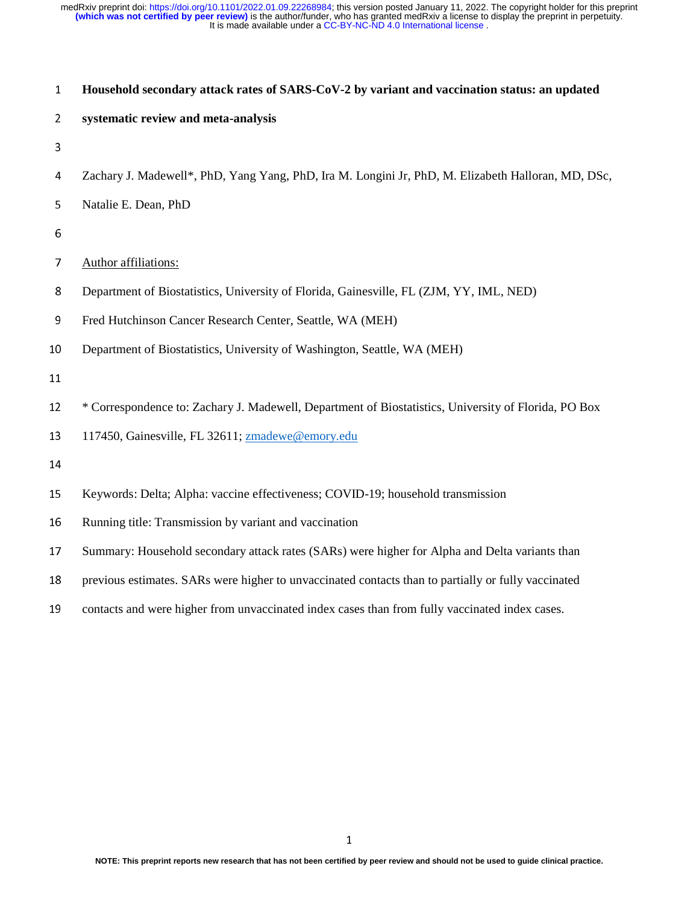| $\mathbf{1}$   | Household secondary attack rates of SARS-CoV-2 by variant and vaccination status: an updated         |  |  |  |  |
|----------------|------------------------------------------------------------------------------------------------------|--|--|--|--|
| $\overline{2}$ | systematic review and meta-analysis                                                                  |  |  |  |  |
| 3              |                                                                                                      |  |  |  |  |
| 4              | Zachary J. Madewell*, PhD, Yang Yang, PhD, Ira M. Longini Jr, PhD, M. Elizabeth Halloran, MD, DSc,   |  |  |  |  |
| 5              | Natalie E. Dean, PhD                                                                                 |  |  |  |  |
| 6              |                                                                                                      |  |  |  |  |
| 7              | Author affiliations:                                                                                 |  |  |  |  |
| 8              | Department of Biostatistics, University of Florida, Gainesville, FL (ZJM, YY, IML, NED)              |  |  |  |  |
| 9              | Fred Hutchinson Cancer Research Center, Seattle, WA (MEH)                                            |  |  |  |  |
| 10             | Department of Biostatistics, University of Washington, Seattle, WA (MEH)                             |  |  |  |  |
| 11             |                                                                                                      |  |  |  |  |
| 12             | * Correspondence to: Zachary J. Madewell, Department of Biostatistics, University of Florida, PO Box |  |  |  |  |
| 13             | 117450, Gainesville, FL 32611; zmadewe@emory.edu                                                     |  |  |  |  |
| 14             |                                                                                                      |  |  |  |  |
| 15             | Keywords: Delta; Alpha: vaccine effectiveness; COVID-19; household transmission                      |  |  |  |  |
| 16             | Running title: Transmission by variant and vaccination                                               |  |  |  |  |
| 17             | Summary: Household secondary attack rates (SARs) were higher for Alpha and Delta variants than       |  |  |  |  |
| 18             | previous estimates. SARs were higher to unvaccinated contacts than to partially or fully vaccinated  |  |  |  |  |
| 19             | contacts and were higher from unvaccinated index cases than from fully vaccinated index cases.       |  |  |  |  |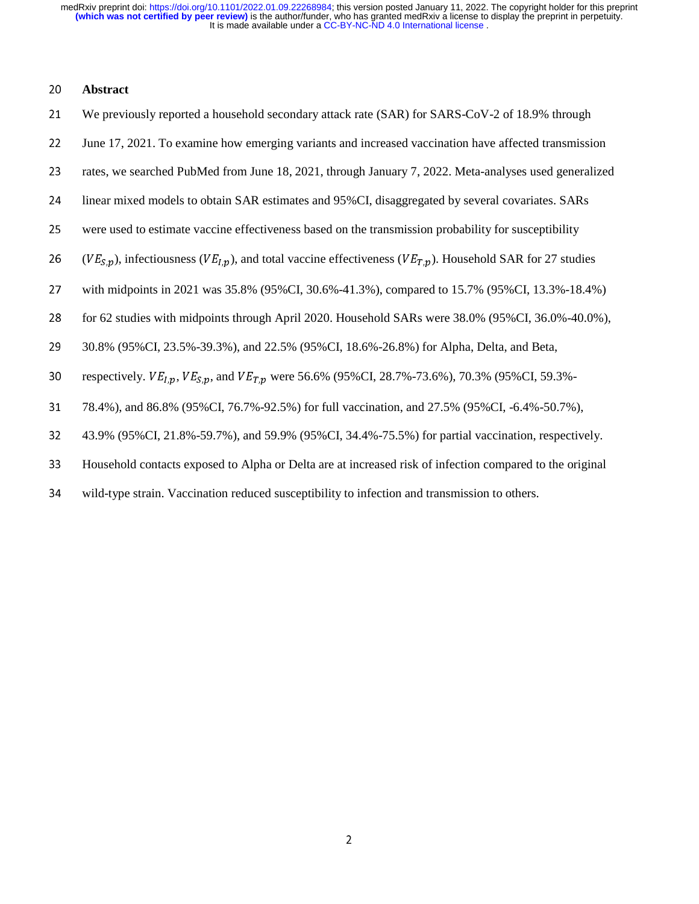## **Abstract**

| 21 | We previously reported a household secondary attack rate (SAR) for SARS-CoV-2 of 18.9% through                             |
|----|----------------------------------------------------------------------------------------------------------------------------|
| 22 | June 17, 2021. To examine how emerging variants and increased vaccination have affected transmission                       |
| 23 | rates, we searched PubMed from June 18, 2021, through January 7, 2022. Meta-analyses used generalized                      |
| 24 | linear mixed models to obtain SAR estimates and 95%CI, disaggregated by several covariates. SARs                           |
| 25 | were used to estimate vaccine effectiveness based on the transmission probability for susceptibility                       |
| 26 | $(VE_{S,n})$ , infectiousness ( $VE_{I,n}$ ), and total vaccine effectiveness ( $VE_{T,n}$ ). Household SAR for 27 studies |
| 27 | with midpoints in 2021 was 35.8% (95%CI, 30.6%-41.3%), compared to 15.7% (95%CI, 13.3%-18.4%)                              |
| 28 | for 62 studies with midpoints through April 2020. Household SARs were 38.0% (95%CI, 36.0%-40.0%),                          |
| 29 | 30.8% (95% CI, 23.5%-39.3%), and 22.5% (95% CI, 18.6%-26.8%) for Alpha, Delta, and Beta,                                   |
| 30 | respectively. $VE_{1,p}$ , $VE_{5,p}$ , and $VE_{T,p}$ were 56.6% (95%CI, 28.7%-73.6%), 70.3% (95%CI, 59.3%-               |
| 31 | 78.4%), and 86.8% (95%CI, 76.7%-92.5%) for full vaccination, and 27.5% (95%CI, -6.4%-50.7%),                               |
| 32 | 43.9% (95%CI, 21.8%-59.7%), and 59.9% (95%CI, 34.4%-75.5%) for partial vaccination, respectively.                          |
| 33 | Household contacts exposed to Alpha or Delta are at increased risk of infection compared to the original                   |
| 34 | wild-type strain. Vaccination reduced susceptibility to infection and transmission to others.                              |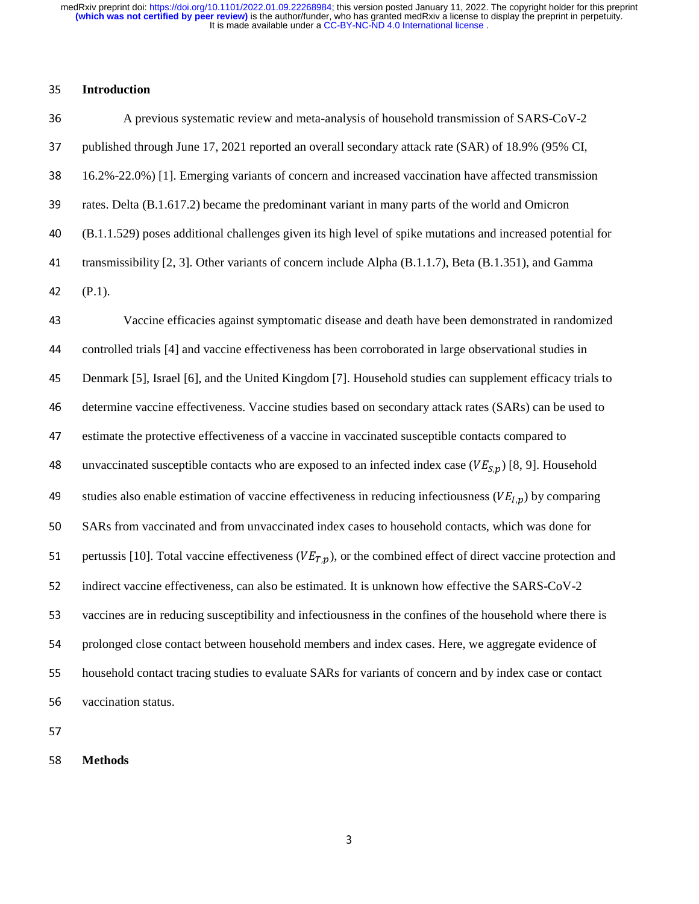#### <sup>35</sup>**Introduction**

<sup>36</sup>A previous systematic review and meta-analysis of household transmission of SARS-CoV-2 37 published through June 17, 2021 reported an overall secondary attack rate (SAR) of 18.9% (95% CI, 38 16.2%-22.0%) [1]. Emerging variants of concern and increased vaccination have affected transmission 39 rates. Delta (B.1.617.2) became the predominant variant in many parts of the world and Omicron <sup>40</sup>(B.1.1.529) poses additional challenges given its high level of spike mutations and increased potential for 41 transmissibility [2, 3]. Other variants of concern include Alpha (B.1.1.7), Beta (B.1.351), and Gamma 42 (P.1).

<sup>43</sup>Vaccine efficacies against symptomatic disease and death have been demonstrated in randomized 44 controlled trials [4] and vaccine effectiveness has been corroborated in large observational studies in <sup>45</sup>Denmark [5], Israel [6], and the United Kingdom [7]. Household studies can supplement efficacy trials to 46 determine vaccine effectiveness. Vaccine studies based on secondary attack rates (SARs) can be used to 47 estimate the protective effectiveness of a vaccine in vaccinated susceptible contacts compared to 48 unvaccinated susceptible contacts who are exposed to an infected index case ( $VE_{S,p}$ ) [8, 9]. Household 49 studies also enable estimation of vaccine effectiveness in reducing infectiousness ( $VE_{I,p}$ ) by comparing 50 SARs from vaccinated and from unvaccinated index cases to household contacts, which was done for 51 pertussis [10]. Total vaccine effectiveness ( $VE_{T,p}$ ), or the combined effect of direct vaccine protection and 52 indirect vaccine effectiveness, can also be estimated. It is unknown how effective the SARS-CoV-2 53 vaccines are in reducing susceptibility and infectiousness in the confines of the household where there is 54 prolonged close contact between household members and index cases. Here, we aggregate evidence of 55 household contact tracing studies to evaluate SARs for variants of concern and by index case or contact 56 vaccination status.

<sup>58</sup>**Methods**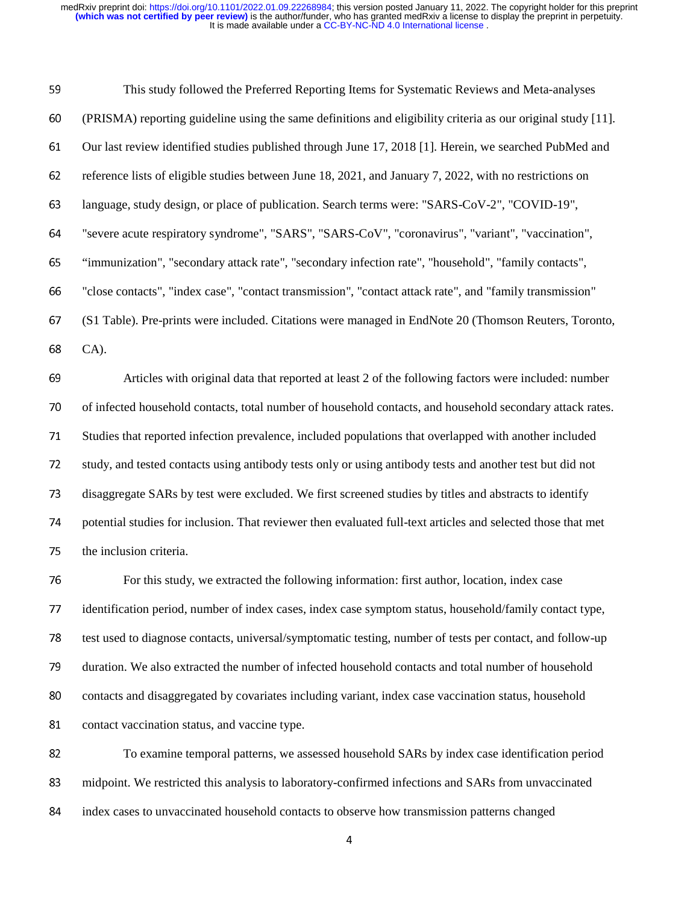| 59 | This study followed the Preferred Reporting Items for Systematic Reviews and Meta-analyses                   |
|----|--------------------------------------------------------------------------------------------------------------|
| 60 | (PRISMA) reporting guideline using the same definitions and eligibility criteria as our original study [11]. |
| 61 | Our last review identified studies published through June 17, 2018 [1]. Herein, we searched PubMed and       |
| 62 | reference lists of eligible studies between June 18, 2021, and January 7, 2022, with no restrictions on      |
| 63 | language, study design, or place of publication. Search terms were: "SARS-CoV-2", "COVID-19",                |
| 64 | "severe acute respiratory syndrome", "SARS", "SARS-CoV", "coronavirus", "variant", "vaccination",            |
| 65 | "immunization", "secondary attack rate", "secondary infection rate", "household", "family contacts",         |
| 66 | "close contacts", "index case", "contact transmission", "contact attack rate", and "family transmission"     |
| 67 | (S1 Table). Pre-prints were included. Citations were managed in EndNote 20 (Thomson Reuters, Toronto,        |
| 68 | CA).                                                                                                         |
| 69 | Articles with original data that reported at least 2 of the following factors were included: number          |
| 70 | of infected household contacts, total number of household contacts, and household secondary attack rates.    |
| 71 | Studies that reported infection prevalence, included populations that overlapped with another included       |
| 72 | study, and tested contacts using antibody tests only or using antibody tests and another test but did not    |
| 73 | disaggregate SARs by test were excluded. We first screened studies by titles and abstracts to identify       |
| 74 | potential studies for inclusion. That reviewer then evaluated full-text articles and selected those that met |
| 75 | the inclusion criteria.                                                                                      |
| 76 | For this study, we extracted the following information: first author, location, index case                   |
| 77 | identification period, number of index cases, index case symptom status, household/family contact type,      |
| 78 | test used to diagnose contacts, universal/symptomatic testing, number of tests per contact, and follow-up    |
| 79 | duration. We also extracted the number of infected household contacts and total number of household          |
| 80 | contacts and disaggregated by covariates including variant, index case vaccination status, household         |
| 81 | contact vaccination status, and vaccine type.                                                                |
| 82 | To examine temporal patterns, we assessed household SARs by index case identification period                 |
| 83 | midpoint. We restricted this analysis to laboratory-confirmed infections and SARs from unvaccinated          |
|    |                                                                                                              |

84 index cases to unvaccinated household contacts to observe how transmission patterns changed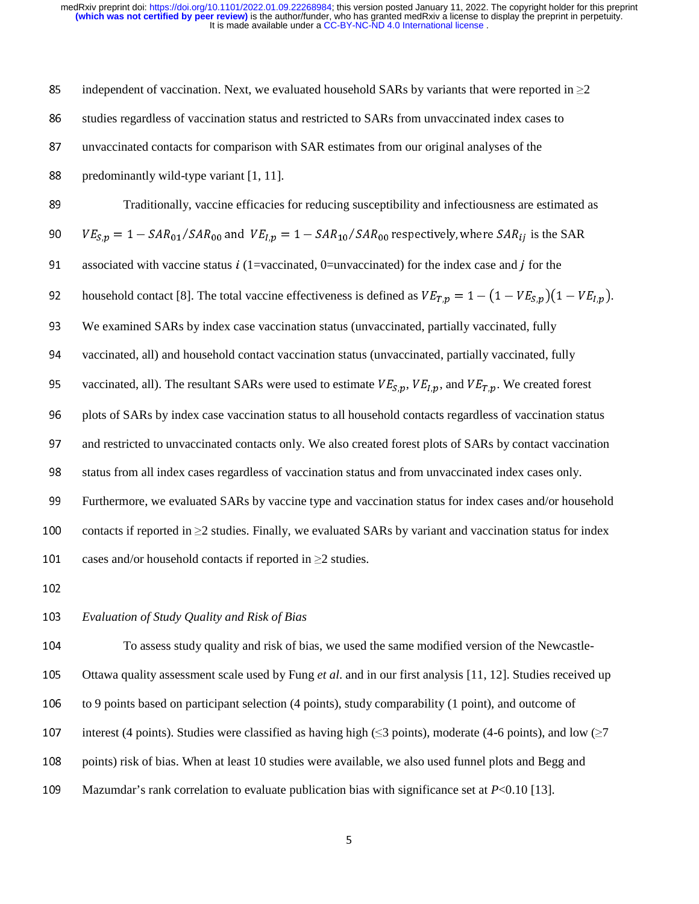85 independent of vaccination. Next, we evaluated household SARs by variants that were reported in  $\geq$ 2 86 studies regardless of vaccination status and restricted to SARs from unvaccinated index cases to 87 unvaccinated contacts for comparison with SAR estimates from our original analyses of the 88 predominantly wild-type variant  $[1, 11]$ . <sup>89</sup>Traditionally, vaccine efficacies for reducing susceptibility and infectiousness are estimated as 90  $VE_{S,p} = 1 - SAR_{01}/SAR_{00}$  and  $VE_{I,p} = 1 - SAR_{10}/SAR_{00}$  respectively, where  $SAR_{ij}$  is the SAR 91 associated with vaccine status  $i$  (1=vaccinated, 0=unvaccinated) for the index case and  $j$  for the 92 household contact [8]. The total vaccine effectiveness is defined as  $VE_{T,p} = 1 - (1 - VE_{S,p})(1 - VE_{I,p})$ . 93 We examined SARs by index case vaccination status (unvaccinated, partially vaccinated, fully 94 vaccinated, all) and household contact vaccination status (unvaccinated, partially vaccinated, fully 95 vaccinated, all). The resultant SARs were used to estimate  $VE_{S,p}$ ,  $VE_{I,p}$ , and  $VE_{T,p}$ . We created forest 96 plots of SARs by index case vaccination status to all household contacts regardless of vaccination status 97 and restricted to unvaccinated contacts only. We also created forest plots of SARs by contact vaccination 98 status from all index cases regardless of vaccination status and from unvaccinated index cases only. 99 Furthermore, we evaluated SARs by vaccine type and vaccination status for index cases and/or household 100 contacts if reported in  $>2$  studies. Finally, we evaluated SARs by variant and vaccination status for index 101 cases and/or household contacts if reported in  $\geq$ 2 studies.

## <sup>103</sup>*Evaluation of Study Quality and Risk of Bias*

104 To assess study quality and risk of bias, we used the same modified version of the Newcastle-105 Ottawa quality assessment scale used by Fung *et al.* and in our first analysis [11, 12]. Studies received up 106 to 9 points based on participant selection (4 points), study comparability (1 point), and outcome of 107 interest (4 points). Studies were classified as having high ( $\leq$ 3 points), moderate (4-6 points), and low ( $\geq$ 7 108 points) risk of bias. When at least 10 studies were available, we also used funnel plots and Begg and 109 Mazumdar's rank correlation to evaluate publication bias with significance set at *P*<0.10 [13].

5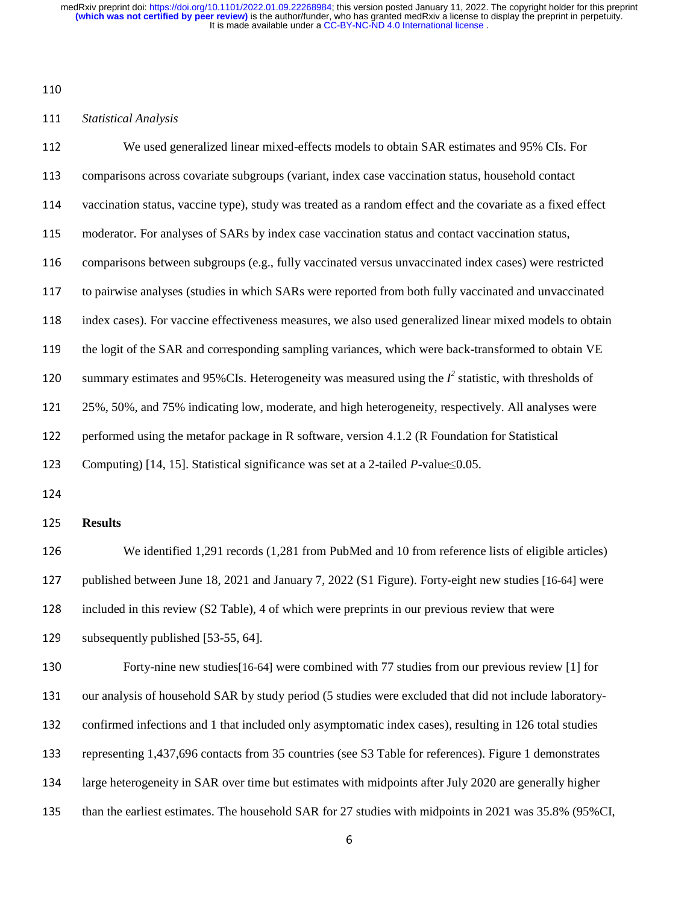#### *Statistical Analysis*

| 112 | We used generalized linear mixed-effects models to obtain SAR estimates and 95% CIs. For                    |
|-----|-------------------------------------------------------------------------------------------------------------|
| 113 | comparisons across covariate subgroups (variant, index case vaccination status, household contact           |
| 114 | vaccination status, vaccine type), study was treated as a random effect and the covariate as a fixed effect |
| 115 | moderator. For analyses of SARs by index case vaccination status and contact vaccination status,            |
| 116 | comparisons between subgroups (e.g., fully vaccinated versus unvaccinated index cases) were restricted      |
| 117 | to pairwise analyses (studies in which SARs were reported from both fully vaccinated and unvaccinated       |
| 118 | index cases). For vaccine effectiveness measures, we also used generalized linear mixed models to obtain    |
| 119 | the logit of the SAR and corresponding sampling variances, which were back-transformed to obtain VE         |
| 120 | summary estimates and 95%CIs. Heterogeneity was measured using the $I^2$ statistic, with thresholds of      |
| 121 | 25%, 50%, and 75% indicating low, moderate, and high heterogeneity, respectively. All analyses were         |
| 122 | performed using the metafor package in R software, version 4.1.2 (R Foundation for Statistical              |
| 123 | Computing) [14, 15]. Statistical significance was set at a 2-tailed $P$ -value $\leq 0.05$ .                |
| 124 |                                                                                                             |
| 125 | <b>Results</b>                                                                                              |
| 126 | We identified 1,291 records (1,281 from PubMed and 10 from reference lists of eligible articles)            |
| 127 | published between June 18, 2021 and January 7, 2022 (S1 Figure). Forty-eight new studies [16-64] were       |
| 128 | included in this review (S2 Table), 4 of which were preprints in our previous review that were              |
| 129 | subsequently published [53-55, 64].                                                                         |
| 130 | Forty-nine new studies [16-64] were combined with 77 studies from our previous review [1] for               |
| 131 | our analysis of household SAR by study period (5 studies were excluded that did not include laboratory-     |
| 132 | confirmed infections and 1 that included only asymptomatic index cases), resulting in 126 total studies     |
| 133 | representing 1,437,696 contacts from 35 countries (see S3 Table for references). Figure 1 demonstrates      |
| 134 | large heterogeneity in SAR over time but estimates with midpoints after July 2020 are generally higher      |
| 135 | than the earliest estimates. The household SAR for 27 studies with midpoints in 2021 was 35.8% (95%CI,      |
|     |                                                                                                             |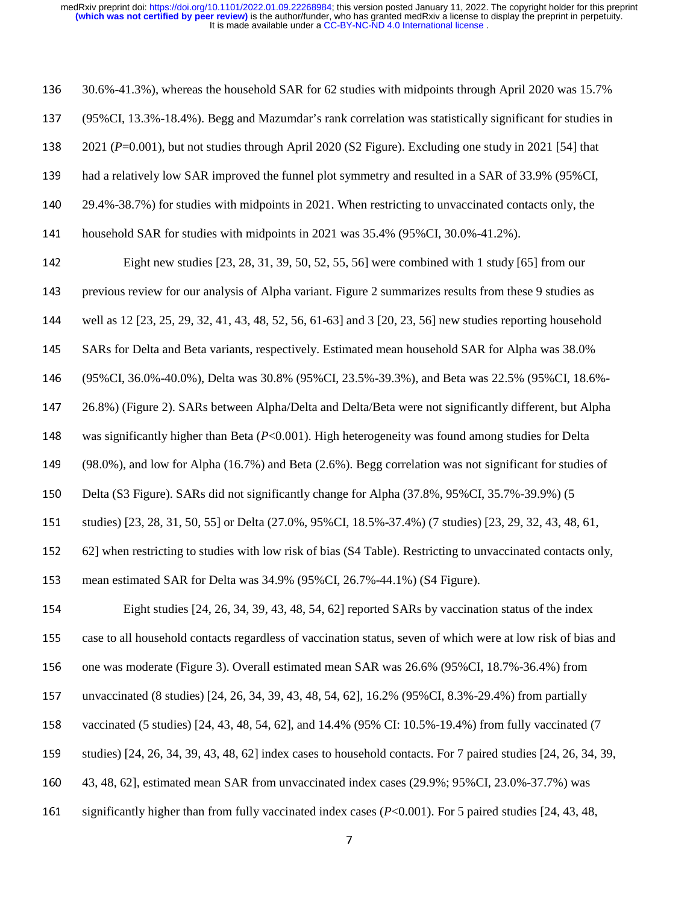| 136 | 30.6%-41.3%), whereas the household SAR for 62 studies with midpoints through April 2020 was 15.7%                 |
|-----|--------------------------------------------------------------------------------------------------------------------|
| 137 | (95% CI, 13.3% - 18.4%). Begg and Mazumdar's rank correlation was statistically significant for studies in         |
| 138 | 2021 ( $P=0.001$ ), but not studies through April 2020 (S2 Figure). Excluding one study in 2021 [54] that          |
| 139 | had a relatively low SAR improved the funnel plot symmetry and resulted in a SAR of 33.9% (95%CI,                  |
| 140 | 29.4%-38.7%) for studies with midpoints in 2021. When restricting to unvaccinated contacts only, the               |
| 141 | household SAR for studies with midpoints in 2021 was 35.4% (95%CI, 30.0%-41.2%).                                   |
| 142 | Eight new studies [23, 28, 31, 39, 50, 52, 55, 56] were combined with 1 study [65] from our                        |
| 143 | previous review for our analysis of Alpha variant. Figure 2 summarizes results from these 9 studies as             |
| 144 | well as 12 [23, 25, 29, 32, 41, 43, 48, 52, 56, 61-63] and 3 [20, 23, 56] new studies reporting household          |
| 145 | SARs for Delta and Beta variants, respectively. Estimated mean household SAR for Alpha was 38.0%                   |
| 146 | (95% CI, 36.0% -40.0%), Delta was 30.8% (95% CI, 23.5% -39.3%), and Beta was 22.5% (95% CI, 18.6% -                |
| 147 | 26.8%) (Figure 2). SARs between Alpha/Delta and Delta/Beta were not significantly different, but Alpha             |
| 148 | was significantly higher than Beta $(P<0.001)$ . High heterogeneity was found among studies for Delta              |
| 149 | $(98.0\%)$ , and low for Alpha $(16.7\%)$ and Beta $(2.6\%)$ . Begg correlation was not significant for studies of |
| 150 | Delta (S3 Figure). SARs did not significantly change for Alpha (37.8%, 95%CI, 35.7%-39.9%) (5                      |
| 151 | studies) [23, 28, 31, 50, 55] or Delta (27.0%, 95%CI, 18.5%-37.4%) (7 studies) [23, 29, 32, 43, 48, 61,            |
| 152 | 62] when restricting to studies with low risk of bias (S4 Table). Restricting to unvaccinated contacts only,       |
| 153 | mean estimated SAR for Delta was 34.9% (95%CI, 26.7%-44.1%) (S4 Figure).                                           |
| 154 | Eight studies [24, 26, 34, 39, 43, 48, 54, 62] reported SARs by vaccination status of the index                    |
| 155 | case to all household contacts regardless of vaccination status, seven of which were at low risk of bias and       |
| 156 | one was moderate (Figure 3). Overall estimated mean SAR was 26.6% (95%CI, 18.7%-36.4%) from                        |
| 157 | unvaccinated (8 studies) [24, 26, 34, 39, 43, 48, 54, 62], 16.2% (95%CI, 8.3%-29.4%) from partially                |
| 158 | vaccinated (5 studies) [24, 43, 48, 54, 62], and 14.4% (95% CI: 10.5%-19.4%) from fully vaccinated (7              |
| 159 | studies) [24, 26, 34, 39, 43, 48, 62] index cases to household contacts. For 7 paired studies [24, 26, 34, 39,     |
| 160 | 43, 48, 62], estimated mean SAR from unvaccinated index cases (29.9%; 95%CI, 23.0%-37.7%) was                      |
| 161 | significantly higher than from fully vaccinated index cases $(P<0.001)$ . For 5 paired studies [24, 43, 48,        |
|     |                                                                                                                    |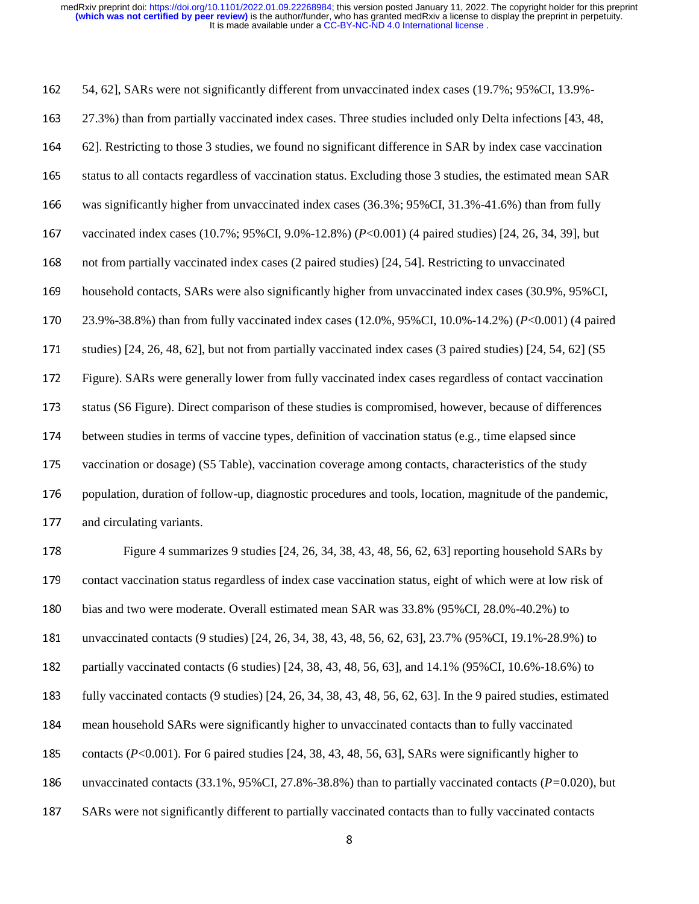162 54, 62], SARs were not significantly different from unvaccinated index cases (19.7%; 95%CI, 13.9%-<sup>163</sup>27.3%) than from partially vaccinated index cases. Three studies included only Delta infections [43, 48, <sup>164</sup>62]. Restricting to those 3 studies, we found no significant difference in SAR by index case vaccination 165 status to all contacts regardless of vaccination status. Excluding those 3 studies, the estimated mean SAR 166 was significantly higher from unvaccinated index cases (36.3%; 95%CI, 31.3%-41.6%) than from fully 167 vaccinated index cases (10.7%; 95%CI, 9.0%-12.8%) (*P*<0.001) (4 paired studies) [24, 26, 34, 39], but 168 not from partially vaccinated index cases (2 paired studies) [24, 54]. Restricting to unvaccinated 169 household contacts, SARs were also significantly higher from unvaccinated index cases (30.9%, 95%CI, <sup>170</sup>23.9%-38.8%) than from fully vaccinated index cases (12.0%, 95%CI, 10.0%-14.2%) (*P*<0.001) (4 paired 171 studies) [24, 26, 48, 62], but not from partially vaccinated index cases (3 paired studies) [24, 54, 62] (S5 172 Figure). SARs were generally lower from fully vaccinated index cases regardless of contact vaccination 173 status (S6 Figure). Direct comparison of these studies is compromised, however, because of differences 174 between studies in terms of vaccine types, definition of vaccination status (e.g., time elapsed since 175 vaccination or dosage) (S5 Table), vaccination coverage among contacts, characteristics of the study 176 population, duration of follow-up, diagnostic procedures and tools, location, magnitude of the pandemic, 177 and circulating variants. 178 Figure 4 summarizes 9 studies [24, 26, 34, 38, 43, 48, 56, 62, 63] reporting household SARs by 179 contact vaccination status regardless of index case vaccination status, eight of which were at low risk of 180 bias and two were moderate. Overall estimated mean SAR was 33.8% (95%CI, 28.0%-40.2%) to 181 unvaccinated contacts (9 studies) [24, 26, 34, 38, 43, 48, 56, 62, 63], 23.7% (95%CI, 19.1%-28.9%) to

182 partially vaccinated contacts (6 studies) [24, 38, 43, 48, 56, 63], and 14.1% (95%CI, 10.6%-18.6%) to

<sup>183</sup>fully vaccinated contacts (9 studies) [24, 26, 34, 38, 43, 48, 56, 62, 63]. In the 9 paired studies, estimated

- <sup>184</sup>mean household SARs were significantly higher to unvaccinated contacts than to fully vaccinated
- 185 contacts (*P*<0.001). For 6 paired studies [24, 38, 43, 48, 56, 63], SARs were significantly higher to
- 186 unvaccinated contacts  $(33.1\%, 95\% \text{CI}, 27.8\% -38.8\%)$  than to partially vaccinated contacts  $(P=0.020)$ , but
- 187 SARs were not significantly different to partially vaccinated contacts than to fully vaccinated contacts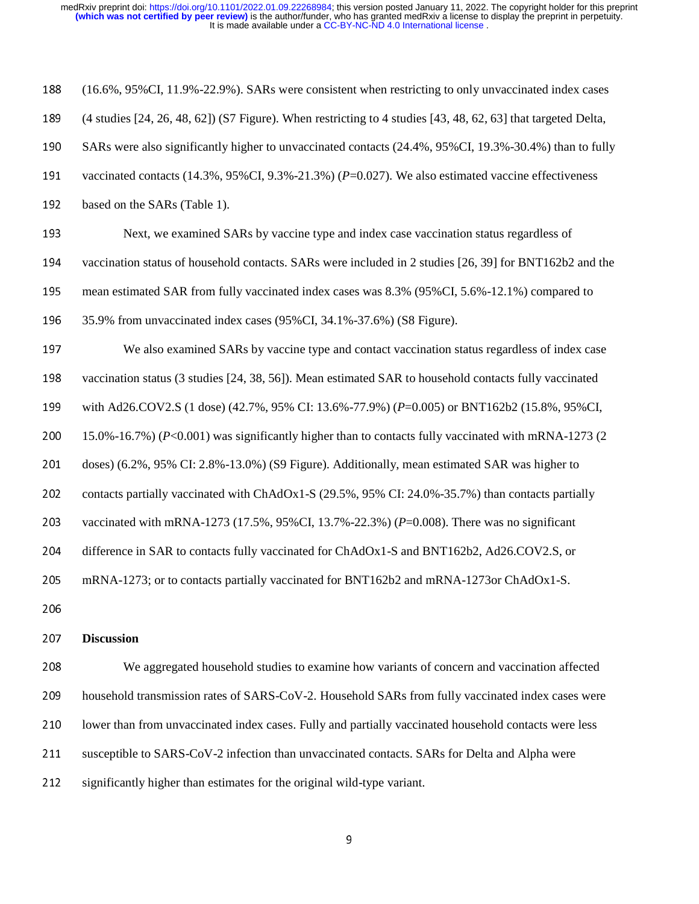| 188 | (16.6%, 95%CI, 11.9%-22.9%). SARs were consistent when restricting to only unvaccinated index cases           |
|-----|---------------------------------------------------------------------------------------------------------------|
| 189 | (4 studies [24, 26, 48, 62]) (S7 Figure). When restricting to 4 studies [43, 48, 62, 63] that targeted Delta, |
| 190 | SARs were also significantly higher to unvaccinated contacts (24.4%, 95%CI, 19.3%-30.4%) than to fully        |
| 191 | vaccinated contacts (14.3%, 95%CI, 9.3%-21.3%) ( $P=0.027$ ). We also estimated vaccine effectiveness         |
| 192 | based on the SARs (Table 1).                                                                                  |
| 193 | Next, we examined SARs by vaccine type and index case vaccination status regardless of                        |
| 194 | vaccination status of household contacts. SARs were included in 2 studies [26, 39] for BNT162b2 and the       |
| 195 | mean estimated SAR from fully vaccinated index cases was 8.3% (95%CI, 5.6%-12.1%) compared to                 |
| 196 | 35.9% from unvaccinated index cases (95%CI, 34.1%-37.6%) (S8 Figure).                                         |
| 197 | We also examined SARs by vaccine type and contact vaccination status regardless of index case                 |
| 198 | vaccination status (3 studies [24, 38, 56]). Mean estimated SAR to household contacts fully vaccinated        |
| 199 | with Ad26.COV2.S (1 dose) (42.7%, 95% CI: 13.6%-77.9%) (P=0.005) or BNT162b2 (15.8%, 95% CI,                  |
| 200 | 15.0%-16.7%) (P<0.001) was significantly higher than to contacts fully vaccinated with mRNA-1273 (2           |
| 201 | doses) (6.2%, 95% CI: 2.8%-13.0%) (S9 Figure). Additionally, mean estimated SAR was higher to                 |
| 202 | contacts partially vaccinated with ChAdOx1-S (29.5%, 95% CI: 24.0%-35.7%) than contacts partially             |
| 203 | vaccinated with mRNA-1273 (17.5%, 95%CI, 13.7%-22.3%) ( $P=0.008$ ). There was no significant                 |
| 204 | difference in SAR to contacts fully vaccinated for ChAdOx1-S and BNT162b2, Ad26.COV2.S, or                    |
| 205 | mRNA-1273; or to contacts partially vaccinated for BNT162b2 and mRNA-1273or ChAdOx1-S.                        |
| 206 |                                                                                                               |
| 207 | <b>Discussion</b>                                                                                             |

<sup>208</sup>We aggregated household studies to examine how variants of concern and vaccination affected 209 household transmission rates of SARS-CoV-2. Household SARs from fully vaccinated index cases were 210 lower than from unvaccinated index cases. Fully and partially vaccinated household contacts were less 211 susceptible to SARS-CoV-2 infection than unvaccinated contacts. SARs for Delta and Alpha were

212 significantly higher than estimates for the original wild-type variant.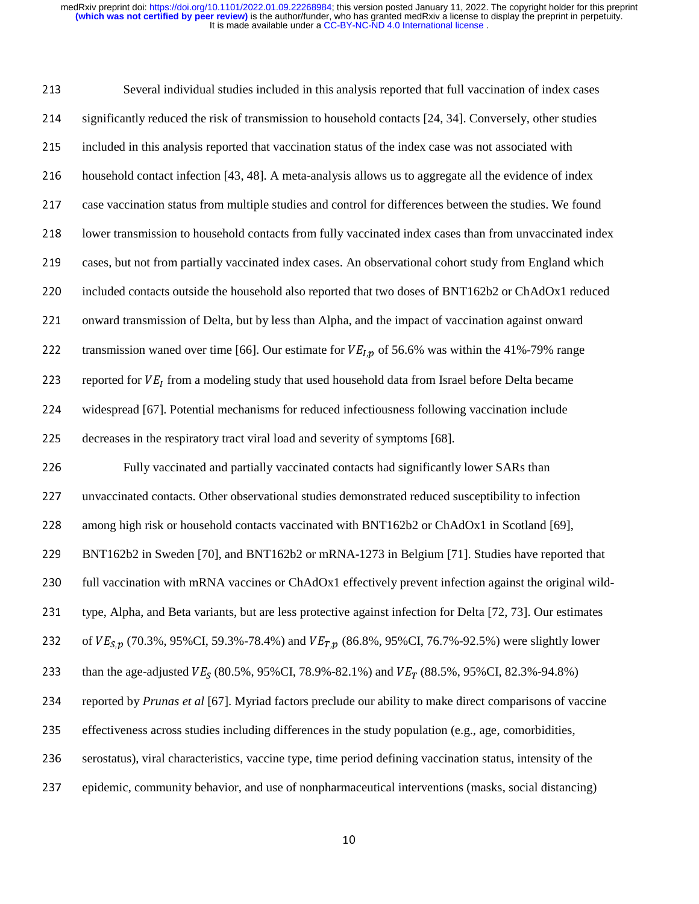213 Several individual studies included in this analysis reported that full vaccination of index cases 214 significantly reduced the risk of transmission to household contacts [24, 34]. Conversely, other studies 215 included in this analysis reported that vaccination status of the index case was not associated with 216 household contact infection [43, 48]. A meta-analysis allows us to aggregate all the evidence of index 217 case vaccination status from multiple studies and control for differences between the studies. We found 218 lower transmission to household contacts from fully vaccinated index cases than from unvaccinated index 219 cases, but not from partially vaccinated index cases. An observational cohort study from England which 220 included contacts outside the household also reported that two doses of BNT162b2 or ChAdOx1 reduced 221 onward transmission of Delta, but by less than Alpha, and the impact of vaccination against onward 222 transmission waned over time [66]. Our estimate for  $VE_{I,p}$  of 56.6% was within the 41%-79% range 223 reported for  $VE<sub>I</sub>$  from a modeling study that used household data from Israel before Delta became 224 widespread [67]. Potential mechanisms for reduced infectiousness following vaccination include 225 decreases in the respiratory tract viral load and severity of symptoms [68]. 226 Fully vaccinated and partially vaccinated contacts had significantly lower SARs than 227 unvaccinated contacts. Other observational studies demonstrated reduced susceptibility to infection 228 among high risk or household contacts vaccinated with BNT162b2 or ChAdOx1 in Scotland [69], <sup>229</sup>BNT162b2 in Sweden [70], and BNT162b2 or mRNA-1273 in Belgium [71]. Studies have reported that 230 full vaccination with mRNA vaccines or ChAdOx1 effectively prevent infection against the original wild-231 type, Alpha, and Beta variants, but are less protective against infection for Delta [72, 73]. Our estimates 232 of  $VE_{S,p}$  (70.3%, 95%CI, 59.3%-78.4%) and  $VE_{T,p}$  (86.8%, 95%CI, 76.7%-92.5%) were slightly lower 233 than the age-adjusted  $VE_s$  (80.5%, 95%CI, 78.9%-82.1%) and  $VE_T$  (88.5%, 95%CI, 82.3%-94.8%) <sup>234</sup>reported by *Prunas et al* [67]. Myriad factors preclude our ability to make direct comparisons of vaccine 235 effectiveness across studies including differences in the study population (e.g., age, comorbidities, 236 serostatus), viral characteristics, vaccine type, time period defining vaccination status, intensity of the <sup>237</sup>epidemic, community behavior, and use of nonpharmaceutical interventions (masks, social distancing)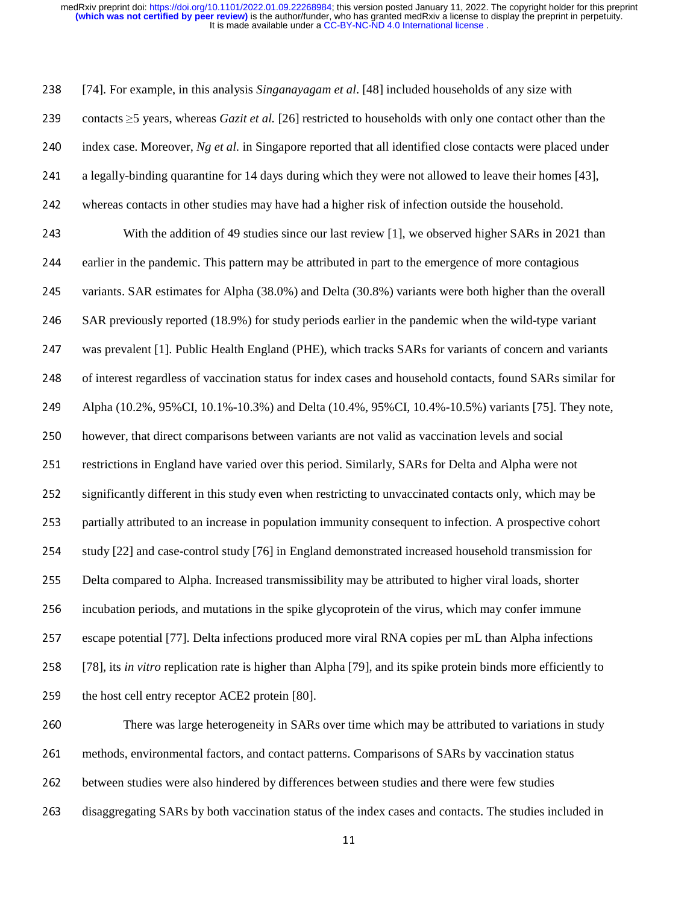<sup>238</sup>[74]. For example, in this analysis *Singanayagam et al*. [48] included households of any size with <sup>239</sup>contacts ≥5 years, whereas *Gazit et al.* [26] restricted to households with only one contact other than the 240 index case. Moreover, *Ng et al.* in Singapore reported that all identified close contacts were placed under 241 a legally-binding quarantine for 14 days during which they were not allowed to leave their homes [43], 242 whereas contacts in other studies may have had a higher risk of infection outside the household. 243 With the addition of 49 studies since our last review [1], we observed higher SARs in 2021 than 244 earlier in the pandemic. This pattern may be attributed in part to the emergence of more contagious 245 variants. SAR estimates for Alpha (38.0%) and Delta (30.8%) variants were both higher than the overall 246 SAR previously reported (18.9%) for study periods earlier in the pandemic when the wild-type variant 247 was prevalent [1]. Public Health England (PHE), which tracks SARs for variants of concern and variants 248 of interest regardless of vaccination status for index cases and household contacts, found SARs similar for 249 Alpha (10.2%, 95%CI, 10.1%-10.3%) and Delta (10.4%, 95%CI, 10.4%-10.5%) variants [75]. They note, 250 however, that direct comparisons between variants are not valid as vaccination levels and social 251 restrictions in England have varied over this period. Similarly, SARs for Delta and Alpha were not 252 significantly different in this study even when restricting to unvaccinated contacts only, which may be 253 partially attributed to an increase in population immunity consequent to infection. A prospective cohort 254 study [22] and case-control study [76] in England demonstrated increased household transmission for 255 Delta compared to Alpha. Increased transmissibility may be attributed to higher viral loads, shorter 256 incubation periods, and mutations in the spike glycoprotein of the virus, which may confer immune 257 escape potential [77]. Delta infections produced more viral RNA copies per mL than Alpha infections <sup>258</sup>[78], its *in vitro* replication rate is higher than Alpha [79], and its spike protein binds more efficiently to 259 the host cell entry receptor ACE2 protein [80]. 260 There was large heterogeneity in SARs over time which may be attributed to variations in study 261 methods, environmental factors, and contact patterns. Comparisons of SARs by vaccination status

- 262 between studies were also hindered by differences between studies and there were few studies
- 263 disaggregating SARs by both vaccination status of the index cases and contacts. The studies included in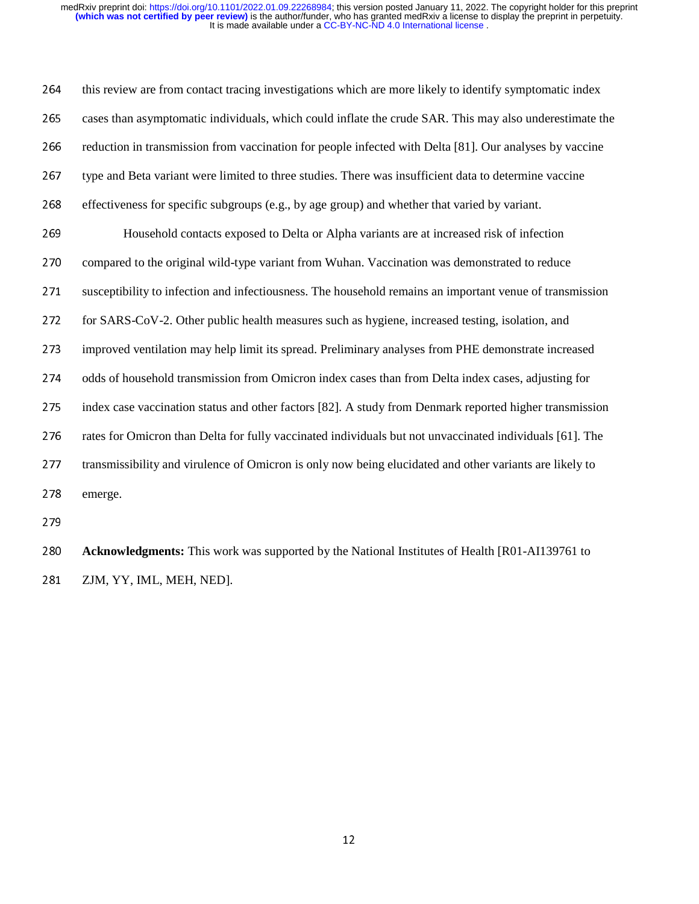264 this review are from contact tracing investigations which are more likely to identify symptomatic index 265 cases than asymptomatic individuals, which could inflate the crude SAR. This may also underestimate the 266 reduction in transmission from vaccination for people infected with Delta [81]. Our analyses by vaccine 267 type and Beta variant were limited to three studies. There was insufficient data to determine vaccine 268 effectiveness for specific subgroups (e.g., by age group) and whether that varied by variant. 269 Household contacts exposed to Delta or Alpha variants are at increased risk of infection 270 compared to the original wild-type variant from Wuhan. Vaccination was demonstrated to reduce 271 susceptibility to infection and infectiousness. The household remains an important venue of transmission 272 for SARS-CoV-2. Other public health measures such as hygiene, increased testing, isolation, and 273 improved ventilation may help limit its spread. Preliminary analyses from PHE demonstrate increased 274 odds of household transmission from Omicron index cases than from Delta index cases, adjusting for 275 index case vaccination status and other factors [82]. A study from Denmark reported higher transmission 276 rates for Omicron than Delta for fully vaccinated individuals but not unvaccinated individuals [61]. The 277 transmissibility and virulence of Omicron is only now being elucidated and other variants are likely to 278 emerge.

<sup>280</sup>**Acknowledgments:** This work was supported by the National Institutes of Health [R01-AI139761 to 281 ZJM, YY, IML, MEH, NED].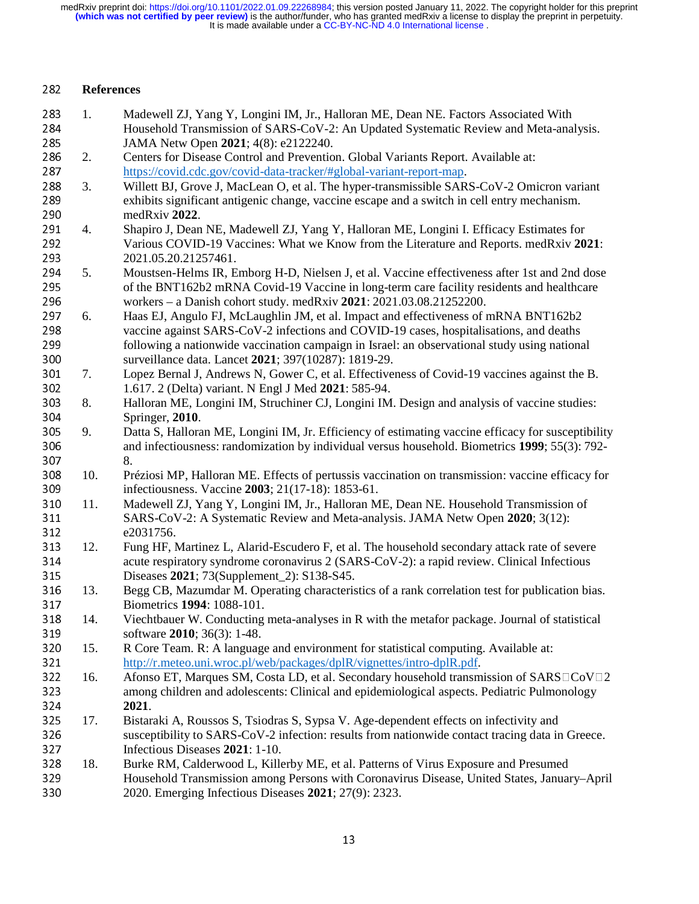## <sup>282</sup>**References**

| 283 | 1.  | Madewell ZJ, Yang Y, Longini IM, Jr., Halloran ME, Dean NE. Factors Associated With                |
|-----|-----|----------------------------------------------------------------------------------------------------|
| 284 |     | Household Transmission of SARS-CoV-2: An Updated Systematic Review and Meta-analysis.              |
| 285 |     | JAMA Netw Open 2021; 4(8): e2122240.                                                               |
| 286 | 2.  | Centers for Disease Control and Prevention. Global Variants Report. Available at:                  |
| 287 |     | https://covid.cdc.gov/covid-data-tracker/#global-variant-report-map.                               |
| 288 | 3.  | Willett BJ, Grove J, MacLean O, et al. The hyper-transmissible SARS-CoV-2 Omicron variant          |
| 289 |     | exhibits significant antigenic change, vaccine escape and a switch in cell entry mechanism.        |
| 290 |     | medRxiv 2022.                                                                                      |
| 291 | 4.  | Shapiro J, Dean NE, Madewell ZJ, Yang Y, Halloran ME, Longini I. Efficacy Estimates for            |
| 292 |     | Various COVID-19 Vaccines: What we Know from the Literature and Reports. medRxiv 2021:             |
| 293 |     | 2021.05.20.21257461.                                                                               |
| 294 | 5.  | Moustsen-Helms IR, Emborg H-D, Nielsen J, et al. Vaccine effectiveness after 1st and 2nd dose      |
| 295 |     | of the BNT162b2 mRNA Covid-19 Vaccine in long-term care facility residents and healthcare          |
|     |     |                                                                                                    |
| 296 |     | workers - a Danish cohort study. medRxiv 2021: 2021.03.08.21252200.                                |
| 297 | 6.  | Haas EJ, Angulo FJ, McLaughlin JM, et al. Impact and effectiveness of mRNA BNT162b2                |
| 298 |     | vaccine against SARS-CoV-2 infections and COVID-19 cases, hospitalisations, and deaths             |
| 299 |     | following a nationwide vaccination campaign in Israel: an observational study using national       |
| 300 |     | surveillance data. Lancet 2021; 397(10287): 1819-29.                                               |
| 301 | 7.  | Lopez Bernal J, Andrews N, Gower C, et al. Effectiveness of Covid-19 vaccines against the B.       |
| 302 |     | 1.617. 2 (Delta) variant. N Engl J Med 2021: 585-94.                                               |
| 303 | 8.  | Halloran ME, Longini IM, Struchiner CJ, Longini IM. Design and analysis of vaccine studies:        |
| 304 |     | Springer, 2010.                                                                                    |
| 305 | 9.  | Datta S, Halloran ME, Longini IM, Jr. Efficiency of estimating vaccine efficacy for susceptibility |
| 306 |     | and infectiousness: randomization by individual versus household. Biometrics 1999; 55(3): 792-     |
| 307 |     | 8.                                                                                                 |
| 308 | 10. | Préziosi MP, Halloran ME. Effects of pertussis vaccination on transmission: vaccine efficacy for   |
| 309 |     | infectiousness. Vaccine 2003; 21(17-18): 1853-61.                                                  |
| 310 | 11. | Madewell ZJ, Yang Y, Longini IM, Jr., Halloran ME, Dean NE. Household Transmission of              |
| 311 |     | SARS-CoV-2: A Systematic Review and Meta-analysis. JAMA Netw Open 2020; 3(12):                     |
| 312 |     | e2031756.                                                                                          |
| 313 | 12. | Fung HF, Martinez L, Alarid-Escudero F, et al. The household secondary attack rate of severe       |
| 314 |     | acute respiratory syndrome coronavirus 2 (SARS-CoV-2): a rapid review. Clinical Infectious         |
| 315 |     | Diseases 2021; 73(Supplement_2): S138-S45.                                                         |
| 316 | 13. | Begg CB, Mazumdar M. Operating characteristics of a rank correlation test for publication bias.    |
| 317 |     | Biometrics 1994: 1088-101.                                                                         |
| 318 | 14. | Viechtbauer W. Conducting meta-analyses in R with the metafor package. Journal of statistical      |
| 319 |     | software 2010; 36(3): 1-48.                                                                        |
| 320 | 15. | R Core Team. R: A language and environment for statistical computing. Available at:                |
| 321 |     | http://r.meteo.uni.wroc.pl/web/packages/dplR/vignettes/intro-dplR.pdf.                             |
| 322 | 16. | Afonso ET, Marques SM, Costa LD, et al. Secondary household transmission of SARS COV C2            |
| 323 |     | among children and adolescents: Clinical and epidemiological aspects. Pediatric Pulmonology        |
| 324 |     | 2021.                                                                                              |
| 325 | 17. | Bistaraki A, Roussos S, Tsiodras S, Sypsa V. Age-dependent effects on infectivity and              |
| 326 |     | susceptibility to SARS-CoV-2 infection: results from nationwide contact tracing data in Greece.    |
| 327 |     | Infectious Diseases 2021: 1-10.                                                                    |
| 328 | 18. | Burke RM, Calderwood L, Killerby ME, et al. Patterns of Virus Exposure and Presumed                |
| 329 |     | Household Transmission among Persons with Coronavirus Disease, United States, January-April        |
| 330 |     | 2020. Emerging Infectious Diseases 2021; 27(9): 2323.                                              |
|     |     |                                                                                                    |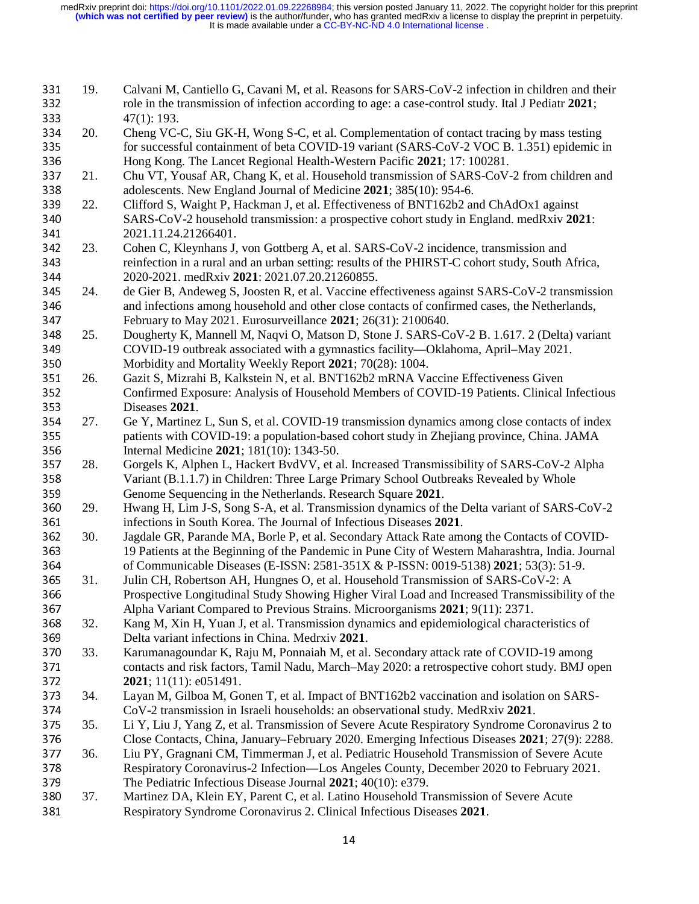| 331 | 19. | Calvani M, Cantiello G, Cavani M, et al. Reasons for SARS-CoV-2 infection in children and their    |
|-----|-----|----------------------------------------------------------------------------------------------------|
| 332 |     | role in the transmission of infection according to age: a case-control study. Ital J Pediatr 2021; |
| 333 |     | 47(1): 193.                                                                                        |
| 334 | 20. | Cheng VC-C, Siu GK-H, Wong S-C, et al. Complementation of contact tracing by mass testing          |
| 335 |     | for successful containment of beta COVID-19 variant (SARS-CoV-2 VOC B. 1.351) epidemic in          |
| 336 |     | Hong Kong. The Lancet Regional Health-Western Pacific 2021; 17: 100281.                            |
| 337 | 21. | Chu VT, Yousaf AR, Chang K, et al. Household transmission of SARS-CoV-2 from children and          |
| 338 |     | adolescents. New England Journal of Medicine 2021; 385(10): 954-6.                                 |
| 339 | 22. | Clifford S, Waight P, Hackman J, et al. Effectiveness of BNT162b2 and ChAdOx1 against              |
| 340 |     | SARS-CoV-2 household transmission: a prospective cohort study in England. medRxiv 2021:            |
| 341 |     | 2021.11.24.21266401.                                                                               |
| 342 | 23. | Cohen C, Kleynhans J, von Gottberg A, et al. SARS-CoV-2 incidence, transmission and                |
| 343 |     | reinfection in a rural and an urban setting: results of the PHIRST-C cohort study, South Africa,   |
| 344 |     | 2020-2021. medRxiv 2021: 2021.07.20.21260855.                                                      |
| 345 | 24. | de Gier B, Andeweg S, Joosten R, et al. Vaccine effectiveness against SARS-CoV-2 transmission      |
| 346 |     | and infections among household and other close contacts of confirmed cases, the Netherlands,       |
| 347 |     | February to May 2021. Eurosurveillance 2021; 26(31): 2100640.                                      |
| 348 | 25. | Dougherty K, Mannell M, Naqvi O, Matson D, Stone J. SARS-CoV-2 B. 1.617. 2 (Delta) variant         |
| 349 |     | COVID-19 outbreak associated with a gymnastics facility---Oklahoma, April--May 2021.               |
| 350 |     | Morbidity and Mortality Weekly Report 2021; 70(28): 1004.                                          |
| 351 | 26. | Gazit S, Mizrahi B, Kalkstein N, et al. BNT162b2 mRNA Vaccine Effectiveness Given                  |
| 352 |     | Confirmed Exposure: Analysis of Household Members of COVID-19 Patients. Clinical Infectious        |
| 353 |     | Diseases 2021.                                                                                     |
| 354 | 27. | Ge Y, Martinez L, Sun S, et al. COVID-19 transmission dynamics among close contacts of index       |
| 355 |     | patients with COVID-19: a population-based cohort study in Zhejiang province, China. JAMA          |
| 356 |     | Internal Medicine 2021; 181(10): 1343-50.                                                          |
| 357 | 28. | Gorgels K, Alphen L, Hackert BvdVV, et al. Increased Transmissibility of SARS-CoV-2 Alpha          |
| 358 |     | Variant (B.1.1.7) in Children: Three Large Primary School Outbreaks Revealed by Whole              |
| 359 |     | Genome Sequencing in the Netherlands. Research Square 2021.                                        |
| 360 | 29. | Hwang H, Lim J-S, Song S-A, et al. Transmission dynamics of the Delta variant of SARS-CoV-2        |
| 361 |     | infections in South Korea. The Journal of Infectious Diseases 2021.                                |
| 362 | 30. | Jagdale GR, Parande MA, Borle P, et al. Secondary Attack Rate among the Contacts of COVID-         |
| 363 |     | 19 Patients at the Beginning of the Pandemic in Pune City of Western Maharashtra, India. Journal   |
| 364 |     | of Communicable Diseases (E-ISSN: 2581-351X & P-ISSN: 0019-5138) 2021; 53(3): 51-9.                |
| 365 | 31. | Julin CH, Robertson AH, Hungnes O, et al. Household Transmission of SARS-CoV-2: A                  |
| 366 |     | Prospective Longitudinal Study Showing Higher Viral Load and Increased Transmissibility of the     |
| 367 |     | Alpha Variant Compared to Previous Strains. Microorganisms 2021; 9(11): 2371.                      |
| 368 | 32. | Kang M, Xin H, Yuan J, et al. Transmission dynamics and epidemiological characteristics of         |
| 369 |     | Delta variant infections in China. Medrxiv 2021.                                                   |
| 370 | 33. | Karumanagoundar K, Raju M, Ponnaiah M, et al. Secondary attack rate of COVID-19 among              |
| 371 |     | contacts and risk factors, Tamil Nadu, March-May 2020: a retrospective cohort study. BMJ open      |
| 372 |     | <b>2021</b> ; 11(11): $e051491$ .                                                                  |
| 373 | 34. | Layan M, Gilboa M, Gonen T, et al. Impact of BNT162b2 vaccination and isolation on SARS-           |
| 374 |     | CoV-2 transmission in Israeli households: an observational study. MedRxiv 2021.                    |
| 375 | 35. | Li Y, Liu J, Yang Z, et al. Transmission of Severe Acute Respiratory Syndrome Coronavirus 2 to     |
| 376 |     | Close Contacts, China, January–February 2020. Emerging Infectious Diseases 2021; 27(9): 2288.      |
| 377 | 36. | Liu PY, Gragnani CM, Timmerman J, et al. Pediatric Household Transmission of Severe Acute          |
| 378 |     | Respiratory Coronavirus-2 Infection—Los Angeles County, December 2020 to February 2021.            |
| 379 |     | The Pediatric Infectious Disease Journal 2021; 40(10): e379.                                       |
| 380 | 37. | Martinez DA, Klein EY, Parent C, et al. Latino Household Transmission of Severe Acute              |
| 381 |     | Respiratory Syndrome Coronavirus 2. Clinical Infectious Diseases 2021.                             |
|     |     |                                                                                                    |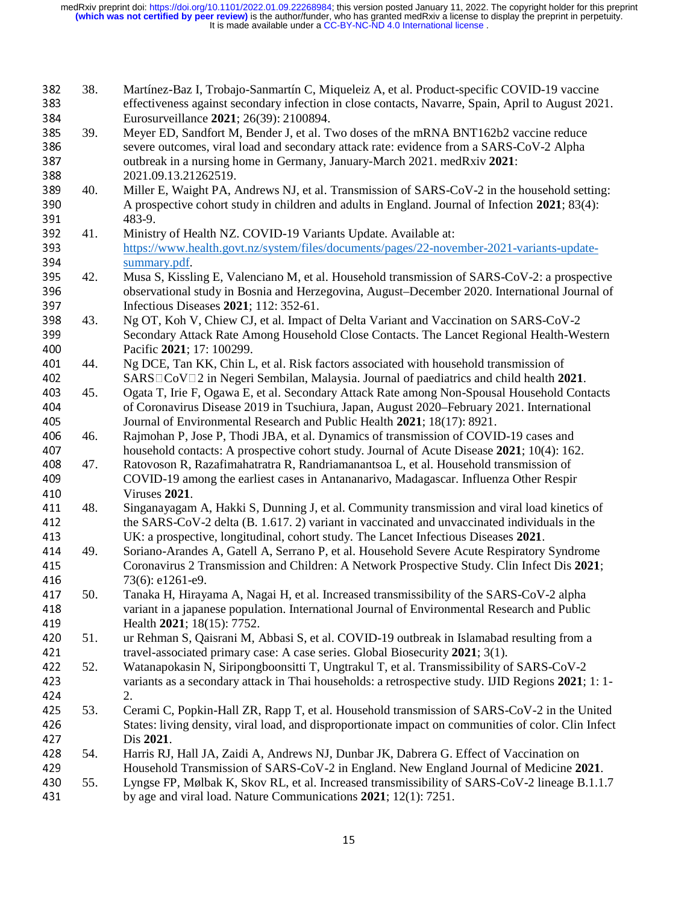| 382<br>383<br>384        | 38. | Martínez-Baz I, Trobajo-Sanmartín C, Miqueleiz A, et al. Product-specific COVID-19 vaccine<br>effectiveness against secondary infection in close contacts, Navarre, Spain, April to August 2021.<br>Eurosurveillance 2021; 26(39): 2100894.                                         |
|--------------------------|-----|-------------------------------------------------------------------------------------------------------------------------------------------------------------------------------------------------------------------------------------------------------------------------------------|
| 385<br>386<br>387<br>388 | 39. | Meyer ED, Sandfort M, Bender J, et al. Two doses of the mRNA BNT162b2 vaccine reduce<br>severe outcomes, viral load and secondary attack rate: evidence from a SARS-CoV-2 Alpha<br>outbreak in a nursing home in Germany, January-March 2021. medRxiv 2021:<br>2021.09.13.21262519. |
| 389<br>390               | 40. | Miller E, Waight PA, Andrews NJ, et al. Transmission of SARS-CoV-2 in the household setting:<br>A prospective cohort study in children and adults in England. Journal of Infection 2021; 83(4):                                                                                     |
| 391                      |     | 483-9.                                                                                                                                                                                                                                                                              |
| 392                      | 41. | Ministry of Health NZ. COVID-19 Variants Update. Available at:                                                                                                                                                                                                                      |
| 393                      |     | https://www.health.govt.nz/system/files/documents/pages/22-november-2021-variants-update-                                                                                                                                                                                           |
| 394                      |     | summary.pdf.                                                                                                                                                                                                                                                                        |
| 395<br>396<br>397        | 42. | Musa S, Kissling E, Valenciano M, et al. Household transmission of SARS-CoV-2: a prospective<br>observational study in Bosnia and Herzegovina, August–December 2020. International Journal of<br>Infectious Diseases 2021; 112: 352-61.                                             |
| 398                      | 43. | Ng OT, Koh V, Chiew CJ, et al. Impact of Delta Variant and Vaccination on SARS-CoV-2                                                                                                                                                                                                |
| 399                      |     | Secondary Attack Rate Among Household Close Contacts. The Lancet Regional Health-Western                                                                                                                                                                                            |
| 400                      |     | Pacific 2021; 17: 100299.                                                                                                                                                                                                                                                           |
| 401                      | 44. | Ng DCE, Tan KK, Chin L, et al. Risk factors associated with household transmission of                                                                                                                                                                                               |
| 402                      |     | SARS□CoV□2 in Negeri Sembilan, Malaysia. Journal of paediatrics and child health 2021.                                                                                                                                                                                              |
| 403                      | 45. | Ogata T, Irie F, Ogawa E, et al. Secondary Attack Rate among Non-Spousal Household Contacts                                                                                                                                                                                         |
| 404                      |     | of Coronavirus Disease 2019 in Tsuchiura, Japan, August 2020–February 2021. International                                                                                                                                                                                           |
| 405                      |     | Journal of Environmental Research and Public Health 2021; 18(17): 8921.                                                                                                                                                                                                             |
| 406                      | 46. | Rajmohan P, Jose P, Thodi JBA, et al. Dynamics of transmission of COVID-19 cases and                                                                                                                                                                                                |
| 407                      |     | household contacts: A prospective cohort study. Journal of Acute Disease 2021; 10(4): 162.                                                                                                                                                                                          |
| 408                      | 47. | Ratovoson R, Razafimahatratra R, Randriamanantsoa L, et al. Household transmission of                                                                                                                                                                                               |
| 409                      |     | COVID-19 among the earliest cases in Antananarivo, Madagascar. Influenza Other Respir                                                                                                                                                                                               |
| 410                      |     | Viruses 2021.                                                                                                                                                                                                                                                                       |
| 411                      | 48. | Singanayagam A, Hakki S, Dunning J, et al. Community transmission and viral load kinetics of                                                                                                                                                                                        |
| 412                      |     | the SARS-CoV-2 delta (B. 1.617. 2) variant in vaccinated and unvaccinated individuals in the                                                                                                                                                                                        |
| 413                      |     | UK: a prospective, longitudinal, cohort study. The Lancet Infectious Diseases 2021.                                                                                                                                                                                                 |
| 414                      | 49. | Soriano-Arandes A, Gatell A, Serrano P, et al. Household Severe Acute Respiratory Syndrome                                                                                                                                                                                          |
| 415                      |     | Coronavirus 2 Transmission and Children: A Network Prospective Study. Clin Infect Dis 2021;                                                                                                                                                                                         |
| 416                      |     | 73(6): e1261-e9.                                                                                                                                                                                                                                                                    |
| 417                      | 50. | Tanaka H, Hirayama A, Nagai H, et al. Increased transmissibility of the SARS-CoV-2 alpha                                                                                                                                                                                            |
| 418                      |     | variant in a japanese population. International Journal of Environmental Research and Public                                                                                                                                                                                        |
| 419                      |     | Health 2021; 18(15): 7752.                                                                                                                                                                                                                                                          |
| 420                      | 51. | ur Rehman S, Qaisrani M, Abbasi S, et al. COVID-19 outbreak in Islamabad resulting from a                                                                                                                                                                                           |
| 421                      |     | travel-associated primary case: A case series. Global Biosecurity 2021; 3(1).                                                                                                                                                                                                       |
| 422                      | 52. | Watanapokasin N, Siripongboonsitti T, Ungtrakul T, et al. Transmissibility of SARS-CoV-2                                                                                                                                                                                            |
| 423<br>424               |     | variants as a secondary attack in Thai households: a retrospective study. IJID Regions 2021; 1:1-<br>2.                                                                                                                                                                             |
| 425                      | 53. | Cerami C, Popkin-Hall ZR, Rapp T, et al. Household transmission of SARS-CoV-2 in the United                                                                                                                                                                                         |
| 426                      |     | States: living density, viral load, and disproportionate impact on communities of color. Clin Infect                                                                                                                                                                                |
| 427                      |     | Dis 2021.                                                                                                                                                                                                                                                                           |
| 428                      | 54. | Harris RJ, Hall JA, Zaidi A, Andrews NJ, Dunbar JK, Dabrera G. Effect of Vaccination on                                                                                                                                                                                             |
| 429                      |     | Household Transmission of SARS-CoV-2 in England. New England Journal of Medicine 2021.                                                                                                                                                                                              |
| 430                      | 55. | Lyngse FP, Mølbak K, Skov RL, et al. Increased transmissibility of SARS-CoV-2 lineage B.1.1.7                                                                                                                                                                                       |
| 431                      |     | by age and viral load. Nature Communications $2021$ ; 12(1): 7251.                                                                                                                                                                                                                  |
|                          |     |                                                                                                                                                                                                                                                                                     |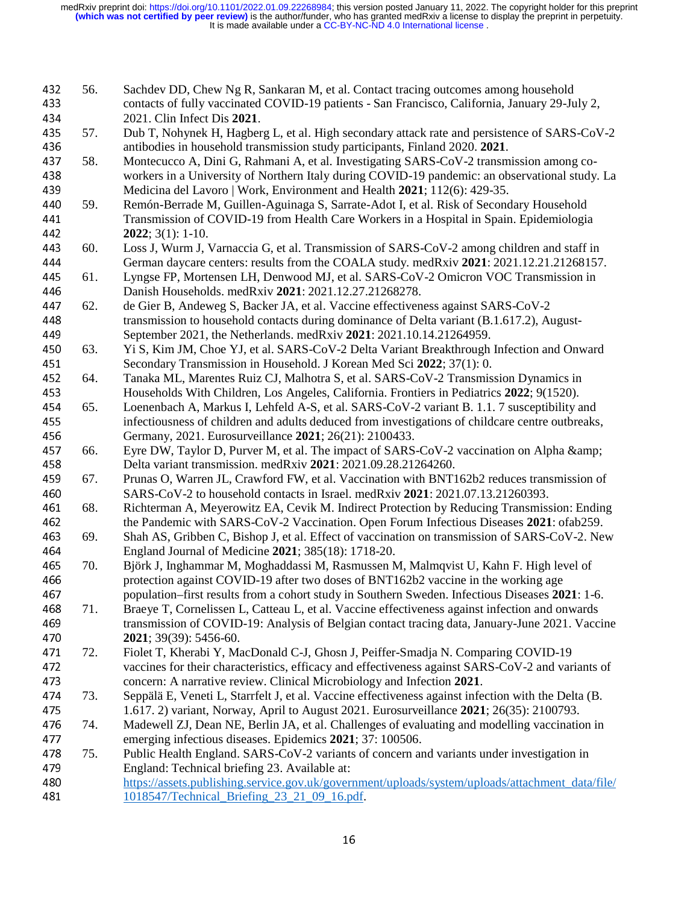| 432<br>433<br>434 | 56. | Sachdev DD, Chew Ng R, Sankaran M, et al. Contact tracing outcomes among household<br>contacts of fully vaccinated COVID-19 patients - San Francisco, California, January 29-July 2,<br>2021. Clin Infect Dis 2021.                                                   |
|-------------------|-----|-----------------------------------------------------------------------------------------------------------------------------------------------------------------------------------------------------------------------------------------------------------------------|
| 435<br>436        | 57. | Dub T, Nohynek H, Hagberg L, et al. High secondary attack rate and persistence of SARS-CoV-2<br>antibodies in household transmission study participants, Finland 2020. 2021.                                                                                          |
| 437<br>438<br>439 | 58. | Montecucco A, Dini G, Rahmani A, et al. Investigating SARS-CoV-2 transmission among co-<br>workers in a University of Northern Italy during COVID-19 pandemic: an observational study. La<br>Medicina del Lavoro   Work, Environment and Health 2021; 112(6): 429-35. |
| 440<br>441<br>442 | 59. | Remón-Berrade M, Guillen-Aguinaga S, Sarrate-Adot I, et al. Risk of Secondary Household<br>Transmission of COVID-19 from Health Care Workers in a Hospital in Spain. Epidemiologia<br>$2022$ ; $3(1)$ : 1-10.                                                         |
| 443               | 60. | Loss J, Wurm J, Varnaccia G, et al. Transmission of SARS-CoV-2 among children and staff in                                                                                                                                                                            |
| 444               |     | German daycare centers: results from the COALA study. medRxiv 2021: 2021.12.21.21268157.                                                                                                                                                                              |
| 445<br>446        | 61. | Lyngse FP, Mortensen LH, Denwood MJ, et al. SARS-CoV-2 Omicron VOC Transmission in<br>Danish Households. medRxiv 2021: 2021.12.27.21268278.                                                                                                                           |
| 447               | 62. | de Gier B, Andeweg S, Backer JA, et al. Vaccine effectiveness against SARS-CoV-2                                                                                                                                                                                      |
| 448               |     | transmission to household contacts during dominance of Delta variant (B.1.617.2), August-                                                                                                                                                                             |
| 449               |     | September 2021, the Netherlands. medRxiv 2021: 2021.10.14.21264959.                                                                                                                                                                                                   |
| 450               | 63. | Yi S, Kim JM, Choe YJ, et al. SARS-CoV-2 Delta Variant Breakthrough Infection and Onward                                                                                                                                                                              |
| 451               |     | Secondary Transmission in Household. J Korean Med Sci 2022; 37(1): 0.                                                                                                                                                                                                 |
| 452               | 64. | Tanaka ML, Marentes Ruiz CJ, Malhotra S, et al. SARS-CoV-2 Transmission Dynamics in                                                                                                                                                                                   |
| 453               |     | Households With Children, Los Angeles, California. Frontiers in Pediatrics 2022; 9(1520).                                                                                                                                                                             |
| 454               | 65. | Loenenbach A, Markus I, Lehfeld A-S, et al. SARS-CoV-2 variant B. 1.1.7 susceptibility and                                                                                                                                                                            |
| 455               |     | infectiousness of children and adults deduced from investigations of childcare centre outbreaks,                                                                                                                                                                      |
| 456               |     | Germany, 2021. Eurosurveillance 2021; 26(21): 2100433.                                                                                                                                                                                                                |
| 457               | 66. | Eyre DW, Taylor D, Purver M, et al. The impact of SARS-CoV-2 vaccination on Alpha &                                                                                                                                                                                   |
| 458               |     | Delta variant transmission. medRxiv 2021: 2021.09.28.21264260.                                                                                                                                                                                                        |
| 459               | 67. | Prunas O, Warren JL, Crawford FW, et al. Vaccination with BNT162b2 reduces transmission of                                                                                                                                                                            |
| 460               |     | SARS-CoV-2 to household contacts in Israel. medRxiv 2021: 2021.07.13.21260393.                                                                                                                                                                                        |
| 461               | 68. | Richterman A, Meyerowitz EA, Cevik M. Indirect Protection by Reducing Transmission: Ending                                                                                                                                                                            |
| 462               |     | the Pandemic with SARS-CoV-2 Vaccination. Open Forum Infectious Diseases 2021: ofab259.                                                                                                                                                                               |
| 463               | 69. | Shah AS, Gribben C, Bishop J, et al. Effect of vaccination on transmission of SARS-CoV-2. New                                                                                                                                                                         |
| 464               |     | England Journal of Medicine 2021; 385(18): 1718-20.                                                                                                                                                                                                                   |
| 465               | 70. | Björk J, Inghammar M, Moghaddassi M, Rasmussen M, Malmqvist U, Kahn F. High level of                                                                                                                                                                                  |
| 466<br>467        |     | protection against COVID-19 after two doses of BNT162b2 vaccine in the working age<br>population–first results from a cohort study in Southern Sweden. Infectious Diseases 2021: 1-6.                                                                                 |
| 468               | 71. | Braeye T, Cornelissen L, Catteau L, et al. Vaccine effectiveness against infection and onwards                                                                                                                                                                        |
| 469               |     | transmission of COVID-19: Analysis of Belgian contact tracing data, January-June 2021. Vaccine                                                                                                                                                                        |
| 470               |     | 2021; 39(39): 5456-60.                                                                                                                                                                                                                                                |
| 471               | 72. | Fiolet T, Kherabi Y, MacDonald C-J, Ghosn J, Peiffer-Smadja N. Comparing COVID-19                                                                                                                                                                                     |
| 472               |     | vaccines for their characteristics, efficacy and effectiveness against SARS-CoV-2 and variants of                                                                                                                                                                     |
| 473               |     | concern: A narrative review. Clinical Microbiology and Infection 2021.                                                                                                                                                                                                |
| 474               | 73. | Seppälä E, Veneti L, Starrfelt J, et al. Vaccine effectiveness against infection with the Delta (B.                                                                                                                                                                   |
| 475               |     | 1.617. 2) variant, Norway, April to August 2021. Eurosurveillance 2021; 26(35): 2100793.                                                                                                                                                                              |
| 476               | 74. | Madewell ZJ, Dean NE, Berlin JA, et al. Challenges of evaluating and modelling vaccination in                                                                                                                                                                         |
| 477               |     | emerging infectious diseases. Epidemics 2021; 37: 100506.                                                                                                                                                                                                             |
| 478               | 75. | Public Health England. SARS-CoV-2 variants of concern and variants under investigation in                                                                                                                                                                             |
| 479               |     | England: Technical briefing 23. Available at:                                                                                                                                                                                                                         |
| 480               |     | https://assets.publishing.service.gov.uk/government/uploads/system/uploads/attachment_data/file/                                                                                                                                                                      |
| 481               |     | 1018547/Technical_Briefing_23_21_09_16.pdf.                                                                                                                                                                                                                           |
|                   |     |                                                                                                                                                                                                                                                                       |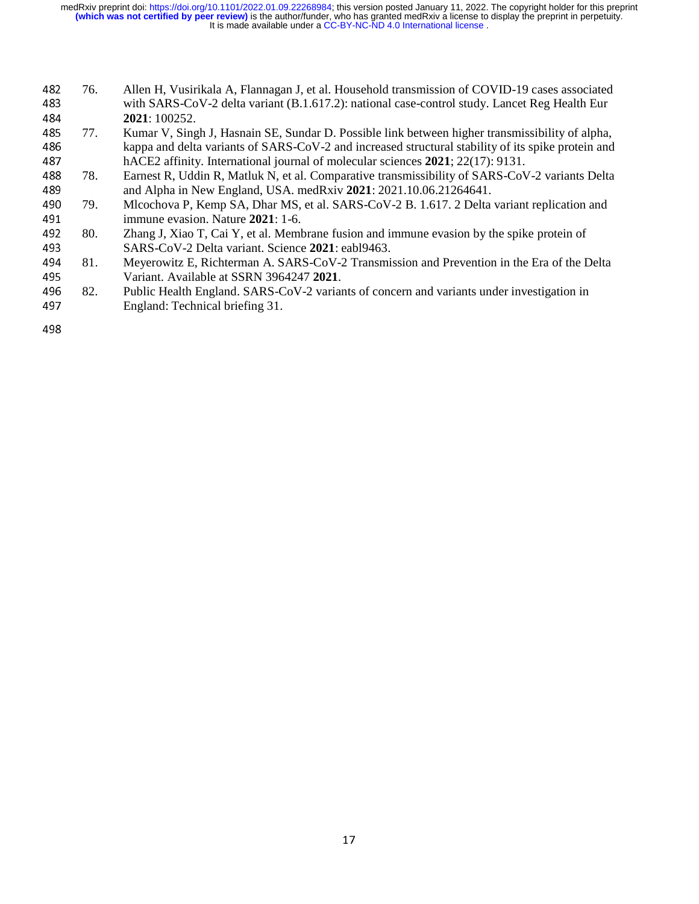- 482 76. Allen H, Vusirikala A, Flannagan J, et al. Household transmission of COVID-19 cases associated<br>483 with SARS-CoV-2 delta variant (B.1.617.2): national case-control study. Lancet Reg Health Eur 483 with SARS-CoV-2 delta variant (B.1.617.2): national case-control study. Lancet Reg Health Eur<br>484 2021: 100252. 484 **2021**: 100252.<br>485 77. Kumar V, Sing
- 485 77. Kumar V, Singh J, Hasnain SE, Sundar D. Possible link between higher transmissibility of alpha,<br>486 kappa and delta variants of SARS-CoV-2 and increased structural stability of its spike protein and 486 kappa and delta variants of SARS-CoV-2 and increased structural stability of its spike protein and<br>487 hACE2 affinity. International journal of molecular sciences 2021; 22(17): 9131.
- 187 hACE2 affinity. International journal of molecular sciences 2021; 22(17): 9131.<br>488 78. Earnest R, Uddin R, Matluk N, et al. Comparative transmissibility of SARS-CoV 488 78. Earnest R, Uddin R, Matluk N, et al. Comparative transmissibility of SARS-CoV-2 variants Delta<br>489 and Alpha in New England, USA. medRxiv 2021: 2021.10.06.21264641.
- and Alpha in New England, USA. medRxiv **2021**: 2021.10.06.21264641.<br>490 79. Mlcochova P, Kemp SA, Dhar MS, et al. SARS-CoV-2 B. 1.617. 2 Delta 490 79. Mlcochova P, Kemp SA, Dhar MS, et al. SARS-CoV-2 B. 1.617. 2 Delta variant replication and<br>491 mmune evasion. Nature 2021: 1-6. 491 immune evasion. Nature **2021**: 1-6.<br>492 80. Zhang J, Xiao T, Cai Y, et al. Memb
- 492 80. Zhang J, Xiao T, Cai Y, et al. Membrane fusion and immune evasion by the spike protein of SARS-CoV-2 Delta variant. Science 2021: eabl9463. 493 SARS-CoV-2 Delta variant. Science 2021: eabl9463.<br>494 81. Meyerowitz E, Richterman A. SARS-CoV-2 Transmis
- 494 81. Meyerowitz E, Richterman A. SARS-CoV-2 Transmission and Prevention in the Era of the Delta<br>495 Variant. Available at SSRN 3964247 2021. 495 Variant. Available at SSRN 3964247 2021.<br>496 82. Public Health England. SARS-CoV-2 varian
- 496 82. Public Health England. SARS-CoV-2 variants of concern and variants under investigation in<br>497 England: Technical briefing 31. England: Technical briefing 31.

498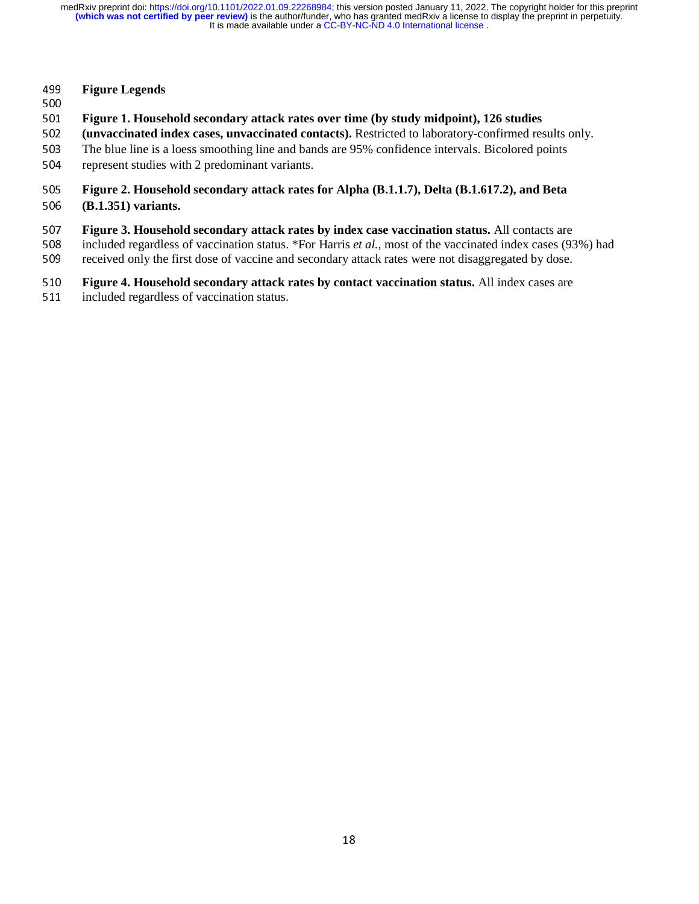# <sup>499</sup>**Figure Legends**

- 
- 501 <sup>501</sup>**Figure 1. Household secondary attack rates over time (by study midpoint), 126 studies**
- 502 (unvaccinated index cases, unvaccinated contacts). Restricted to laboratory-confirmed results only.<br>503 The blue line is a loess smoothing line and bands are 95% confidence intervals. Bicolored points
- 503 The blue line is a loess smoothing line and bands are 95% confidence intervals. Bicolored points represent studies with 2 predominant variants.
- represent studies with 2 predominant variants.
- <sup>505</sup>**Figure 2. Household secondary attack rates for Alpha (B.1.1.7), Delta (B.1.617.2), and Beta**
- <sup>506</sup>**(B.1.351) variants.**
- **Figure 3. Household secondary attack rates by index case vaccination status.** All contacts are included regardless of vaccination status. \*For Harris *et al.*, most of the vaccinated index cases (9)
- 508 included regardless of vaccination status. \*For Harris *et al.*, most of the vaccinated index cases (93%) had received only the first dose of vaccine and secondary attack rates were not disaggregated by dose.
- <sup>509</sup>received only the first dose of vaccine and secondary attack rates were not disaggregated by dose.
- 510 **Figure 4. Household secondary attack rates by contact vaccination status.** All index cases are included regardless of vaccination status.
- <sup>511</sup>included regardless of vaccination status.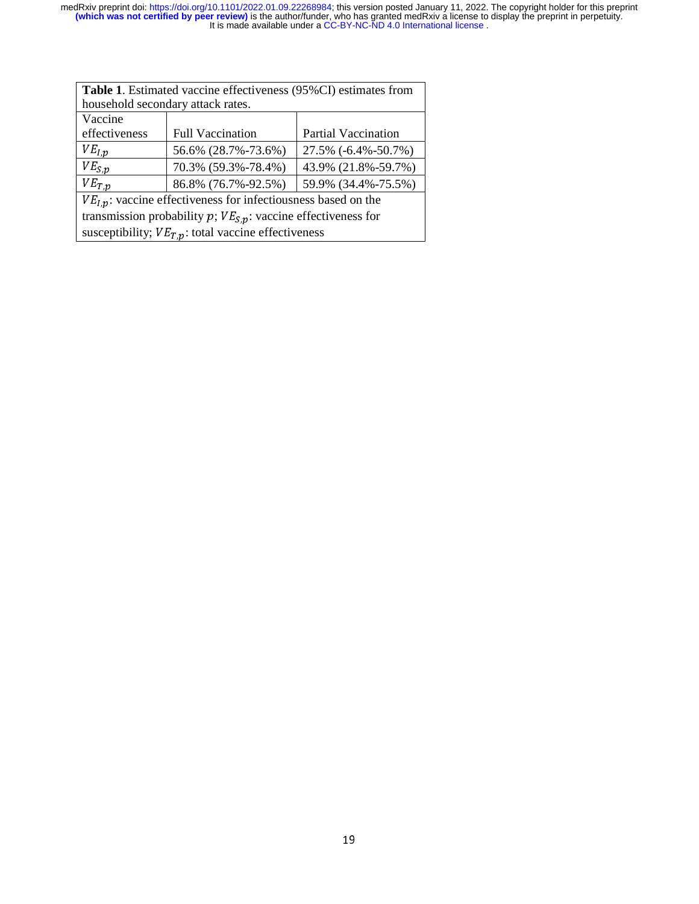| Table 1. Estimated vaccine effectiveness (95%CI) estimates from       |                                            |                            |  |  |  |
|-----------------------------------------------------------------------|--------------------------------------------|----------------------------|--|--|--|
| household secondary attack rates.                                     |                                            |                            |  |  |  |
| Vaccine                                                               |                                            |                            |  |  |  |
| effectiveness                                                         | <b>Full Vaccination</b>                    | <b>Partial Vaccination</b> |  |  |  |
| $VE_{I,p}$<br>56.6% (28.7%-73.6%)<br>27.5% (-6.4%-50.7%)              |                                            |                            |  |  |  |
| $VE_{S,p}$                                                            | 43.9% (21.8%-59.7%)                        |                            |  |  |  |
| $VE_{T,p}$                                                            | 59.9% (34.4%-75.5%)<br>86.8% (76.7%-92.5%) |                            |  |  |  |
| $VEl,p$ : vaccine effectiveness for infectiousness based on the       |                                            |                            |  |  |  |
| transmission probability $p$ ; $VE_{s,p}$ : vaccine effectiveness for |                                            |                            |  |  |  |
| susceptibility; $VE_{T,p}$ : total vaccine effectiveness              |                                            |                            |  |  |  |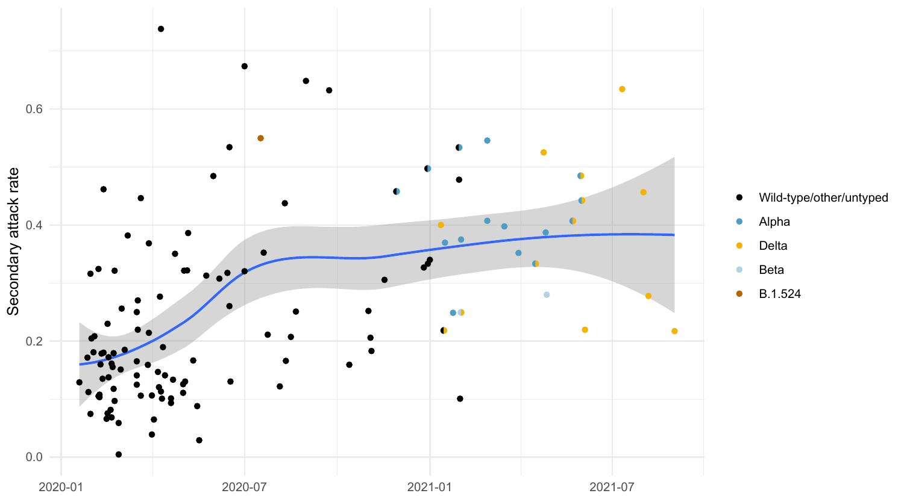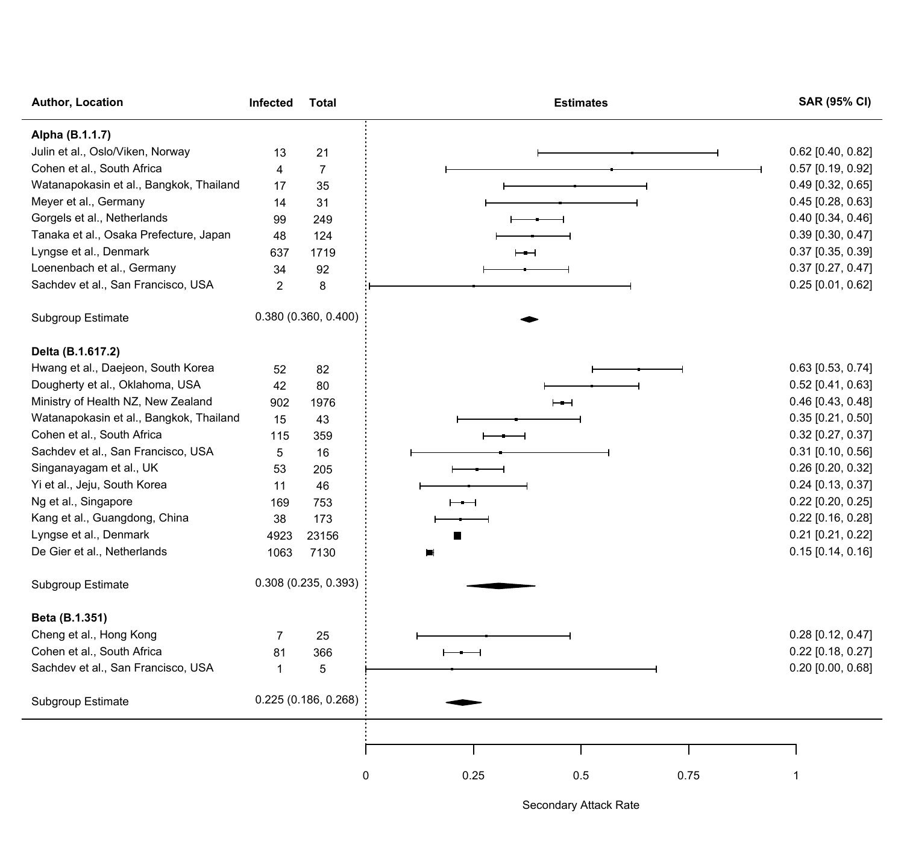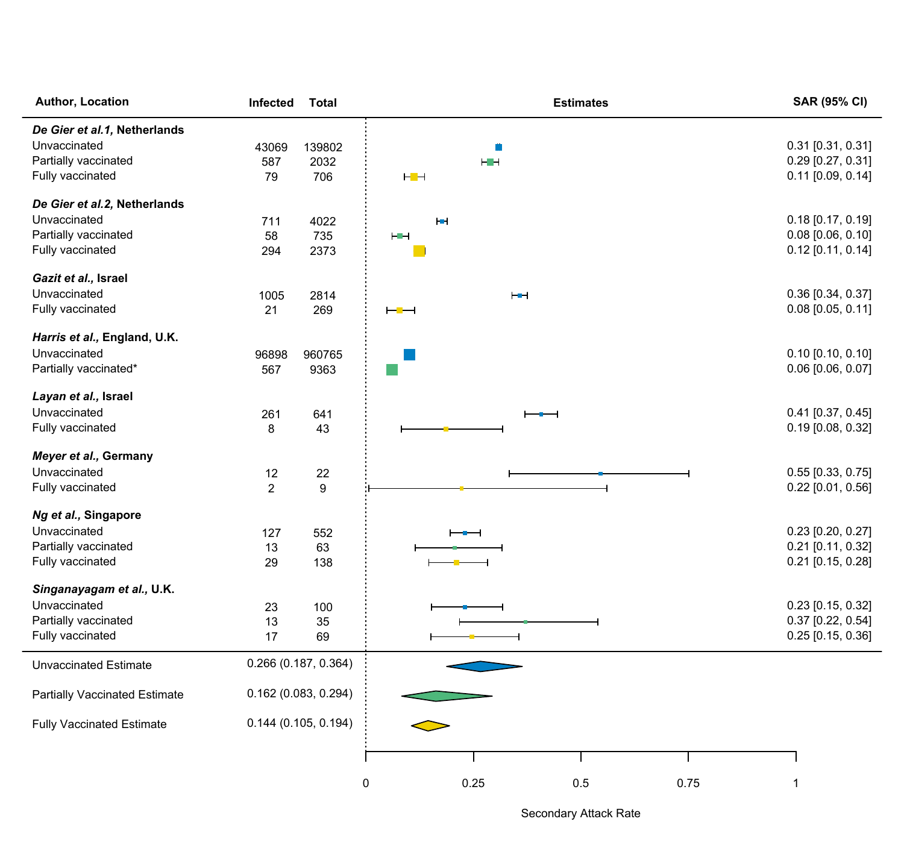| Author, Location                     | <b>Total</b><br>Infected | <b>Estimates</b>             | <b>SAR (95% CI)</b> |
|--------------------------------------|--------------------------|------------------------------|---------------------|
| De Gier et al.1, Netherlands         |                          |                              |                     |
| Unvaccinated                         | 139802<br>43069          | m                            | 0.31 [0.31, 0.31]   |
| Partially vaccinated                 | 587<br>2032              | HH                           | 0.29 [0.27, 0.31]   |
| Fully vaccinated                     | 706<br>79                | ⊢−⊣                          | $0.11$ [0.09, 0.14] |
| De Gier et al.2, Netherlands         |                          |                              |                     |
| Unvaccinated                         | 711<br>4022              | łш                           | $0.18$ [0.17, 0.19] |
| Partially vaccinated                 | 58<br>735                | <b>HEH</b>                   | $0.08$ [0.06, 0.10] |
| Fully vaccinated                     | 294<br>2373              |                              | $0.12$ [0.11, 0.14] |
| Gazit et al., Israel                 |                          |                              |                     |
| Unvaccinated                         | 1005<br>2814             | $H +$                        | 0.36 [0.34, 0.37]   |
| Fully vaccinated                     | 21<br>269                | $\vdash \blacksquare \dashv$ | $0.08$ [0.05, 0.11] |
| Harris et al., England, U.K.         |                          |                              |                     |
| Unvaccinated                         | 960765<br>96898          |                              | $0.10$ [0.10, 0.10] |
| Partially vaccinated*                | 567<br>9363              |                              | $0.06$ [0.06, 0.07] |
| Layan et al., Israel                 |                          |                              |                     |
| Unvaccinated                         | 261<br>641               |                              | $0.41$ [0.37, 0.45] |
| Fully vaccinated                     | 8<br>43                  |                              | 0.19 [0.08, 0.32]   |
| Meyer et al., Germany                |                          |                              |                     |
| Unvaccinated                         | 12<br>22                 |                              | $0.55$ [0.33, 0.75] |
| Fully vaccinated                     | 9<br>2                   |                              | $0.22$ [0.01, 0.56] |
| Ng et al., Singapore                 |                          |                              |                     |
| Unvaccinated                         | 127<br>552               |                              | $0.23$ [0.20, 0.27] |
| Partially vaccinated                 | 13<br>63                 |                              | 0.21 [0.11, 0.32]   |
| Fully vaccinated                     | 29<br>138                |                              | $0.21$ [0.15, 0.28] |
| Singanayagam et al., U.K.            |                          |                              |                     |
| Unvaccinated                         | 23<br>100                |                              | $0.23$ [0.15, 0.32] |
| Partially vaccinated                 | 13<br>35                 |                              | $0.37$ [0.22, 0.54] |
| Fully vaccinated                     | 17<br>69                 |                              | $0.25$ [0.15, 0.36] |
| <b>Unvaccinated Estimate</b>         | 0.266 (0.187, 0.364)     |                              |                     |
| <b>Partially Vaccinated Estimate</b> | 0.162 (0.083, 0.294)     |                              |                     |
|                                      |                          |                              |                     |
| <b>Fully Vaccinated Estimate</b>     | 0.144(0.105, 0.194)      |                              |                     |
|                                      |                          |                              |                     |
|                                      |                          | 0<br>0.25<br>0.5<br>0.75     | 1                   |

Secondary Attack Rate